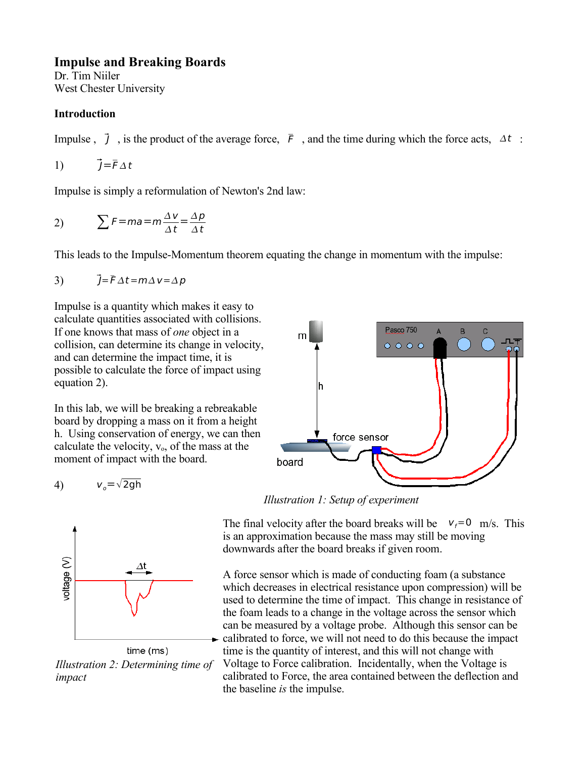## **Impulse and Breaking Boards**

Dr. Tim Niiler West Chester University

## **Introduction**

Impulse,  $\vec{j}$ , is the product of the average force,  $\vec{F}$ , and the time during which the force acts,  $\Delta t$ :

1) 
$$
\vec{J} = \vec{F} \Delta t
$$

Impulse is simply a reformulation of Newton's 2nd law:

2) 
$$
\sum F = ma = m \frac{\Delta V}{\Delta t} = \frac{\Delta p}{\Delta t}
$$

This leads to the Impulse-Momentum theorem equating the change in momentum with the impulse:

3) 
$$
\vec{J} = \vec{F} \, \Delta t = m \Delta v = \Delta p
$$

Impulse is a quantity which makes it easy to calculate quantities associated with collisions. If one knows that mass of *one* object in a collision, can determine its change in velocity, and can determine the impact time, it is possible to calculate the force of impact using equation 2).

In this lab, we will be breaking a rebreakable board by dropping a mass on it from a height h. Using conservation of energy, we can then calculate the velocity,  $v_0$ , of the mass at the moment of impact with the board.

$$
4) \qquad \qquad v_o = \sqrt{2gh}
$$



*Illustration 2: Determining time of impact*



*Illustration 1: Setup of experiment*

The final velocity after the board breaks will be  $v_f=0$  m/s. This is an approximation because the mass may still be moving downwards after the board breaks if given room.

A force sensor which is made of conducting foam (a substance which decreases in electrical resistance upon compression) will be used to determine the time of impact. This change in resistance of the foam leads to a change in the voltage across the sensor which can be measured by a voltage probe. Although this sensor can be calibrated to force, we will not need to do this because the impact time is the quantity of interest, and this will not change with Voltage to Force calibration. Incidentally, when the Voltage is calibrated to Force, the area contained between the deflection and the baseline *is* the impulse.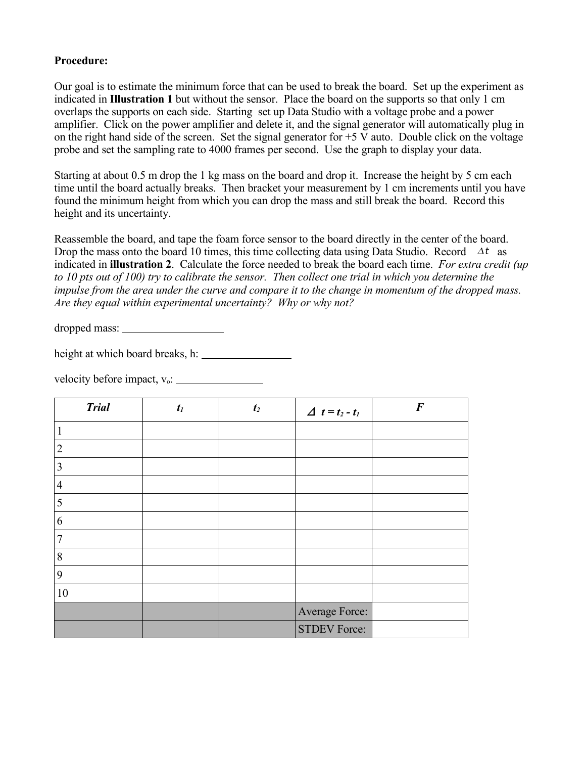## **Procedure:**

Our goal is to estimate the minimum force that can be used to break the board. Set up the experiment as indicated in **Illustration 1** but without the sensor. Place the board on the supports so that only 1 cm overlaps the supports on each side. Starting set up Data Studio with a voltage probe and a power amplifier. Click on the power amplifier and delete it, and the signal generator will automatically plug in on the right hand side of the screen. Set the signal generator for  $+5$  V auto. Double click on the voltage probe and set the sampling rate to 4000 frames per second. Use the graph to display your data.

Starting at about 0.5 m drop the 1 kg mass on the board and drop it. Increase the height by 5 cm each time until the board actually breaks. Then bracket your measurement by 1 cm increments until you have found the minimum height from which you can drop the mass and still break the board. Record this height and its uncertainty.

Reassemble the board, and tape the foam force sensor to the board directly in the center of the board. Drop the mass onto the board 10 times, this time collecting data using Data Studio. Record  $\Delta t$  as indicated in **illustration 2**. Calculate the force needed to break the board each time. *For extra credit (up* to 10 pts out of 100) try to calibrate the sensor. Then collect one trial in which you determine the impulse from the area under the curve and compare it to the change in momentum of the dropped mass. *Are they equal within experimental uncertainty? Why or why not?*

dropped mass:

height at which board breaks, h:

velocity before impact,  $v_0$ :

| <b>Trial</b>   | $t_I$ | t <sub>2</sub> | $\Delta$ t = t <sub>2</sub> - t <sub>1</sub> | $\boldsymbol{F}$ |
|----------------|-------|----------------|----------------------------------------------|------------------|
| 1              |       |                |                                              |                  |
| $\overline{2}$ |       |                |                                              |                  |
| 3              |       |                |                                              |                  |
| $\overline{4}$ |       |                |                                              |                  |
| 5              |       |                |                                              |                  |
| 6              |       |                |                                              |                  |
| 7              |       |                |                                              |                  |
| 8              |       |                |                                              |                  |
| 9              |       |                |                                              |                  |
| 10             |       |                |                                              |                  |
|                |       |                | Average Force:                               |                  |
|                |       |                | <b>STDEV Force:</b>                          |                  |